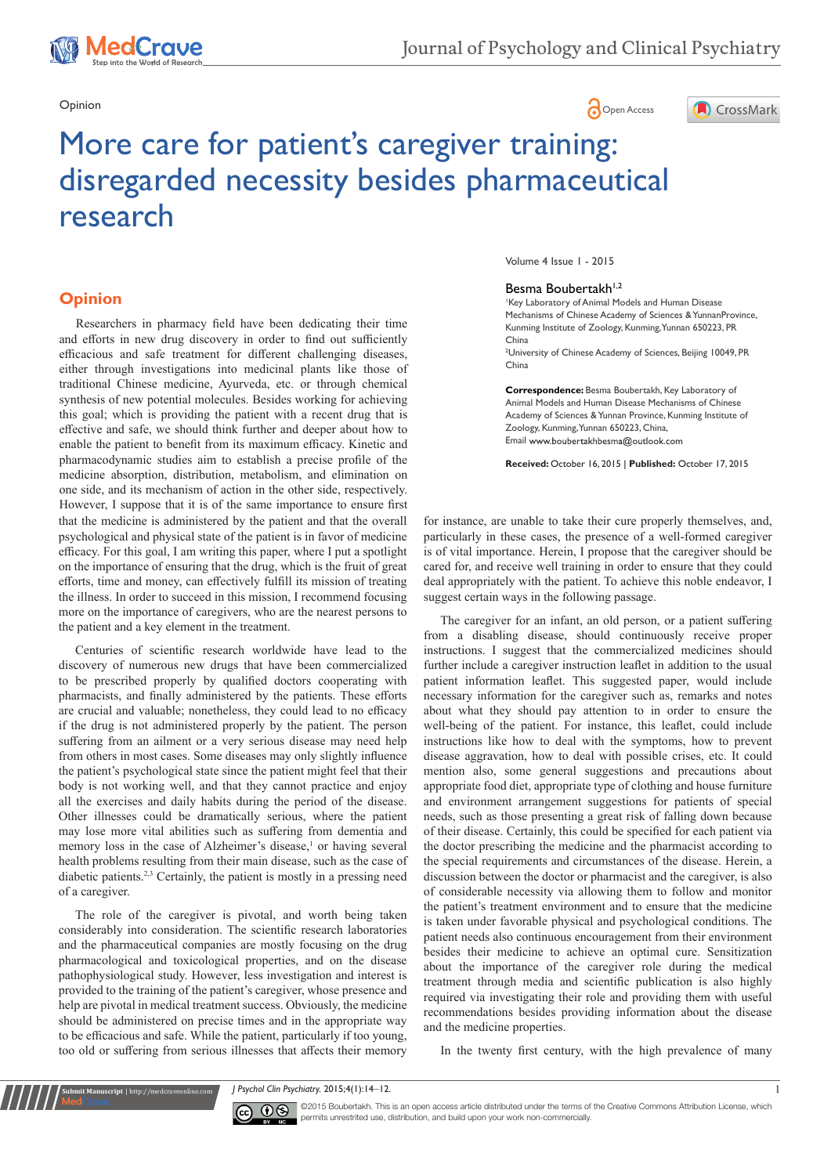1edCrave

# Opinion **Community Community Community Community** Community Community Community Community Community Community Community Community Community Community Community Community Community Community Community Community Community Co



# More care for patient's caregiver training: disregarded necessity besides pharmaceutical research

# **Opinion**

that the medicine is administered by the patient and that the overall psychological and physical state of the patient is in favor of medicine efficacy. For this goal, I am writing this paper, where I put a spotlight on the importance of ensuring that the drug, which is the fruit of great efforts, time and money, can effectively fulfill its mission of treating the illness. In order to succeed in this mission, I recommend focusing more on the importance of caregivers, who are the nearest persons to the patient and a key element in the treatment. Researchers in pharmacy field have been dedicating their time and efforts in new drug discovery in order to find out sufficiently efficacious and safe treatment for different challenging diseases, either through investigations into medicinal plants like those of traditional Chinese medicine, Ayurveda, etc. or through chemical synthesis of new potential molecules. Besides working for achieving this goal; which is providing the patient with a recent drug that is effective and safe, we should think further and deeper about how to enable the patient to benefit from its maximum efficacy. Kinetic and pharmacodynamic studies aim to establish a precise profile of the medicine absorption, distribution, metabolism, and elimination on one side, and its mechanism of action in the other side, respectively. However, I suppose that it is of the same importance to ensure first

Centuries of scientific research worldwide have lead to the discovery of numerous new drugs that have been commercialized to be prescribed properly by qualified doctors cooperating with pharmacists, and finally administered by the patients. These efforts are crucial and valuable; nonetheless, they could lead to no efficacy if the drug is not administered properly by the patient. The person suffering from an ailment or a very serious disease may need help from others in most cases. Some diseases may only slightly influence the patient's psychological state since the patient might feel that their body is not working well, and that they cannot practice and enjoy all the exercises and daily habits during the period of the disease. Other illnesses could be dramatically serious, where the patient may lose more vital abilities such as suffering from dementia and memory loss in the case of Alzheimer's disease,<sup>1</sup> or having several health problems resulting from their main disease, such as the case of diabetic patients.2,3 Certainly, the patient is mostly in a pressing need of a caregiver.

The role of the caregiver is pivotal, and worth being taken considerably into consideration. The scientific research laboratories and the pharmaceutical companies are mostly focusing on the drug pharmacological and toxicological properties, and on the disease pathophysiological study. However, less investigation and interest is provided to the training of the patient's caregiver, whose presence and help are pivotal in medical treatment success. Obviously, the medicine should be administered on precise times and in the appropriate way to be efficacious and safe. While the patient, particularly if too young, too old or suffering from serious illnesses that affects their memory

**it Manuscript** | http://medcraveonline.c

Volume 4 Issue 1 - 2015

#### Besma Boubertakh<sup>1,2</sup>

1 Key Laboratory of Animal Models and Human Disease Mechanisms of Chinese Academy of Sciences & YunnanProvince, Kunming Institute of Zoology, Kunming, Yunnan 650223, PR China

2 University of Chinese Academy of Sciences, Beijing 10049, PR China

**Correspondence:** Besma Boubertakh, Key Laboratory of Animal Models and Human Disease Mechanisms of Chinese Academy of Sciences & Yunnan Province, Kunming Institute of Zoology, Kunming, Yunnan 650223, China, Email www.boubertakhbesma@outlook.com

**Received:** October 16, 2015 | **Published:** October 17, 2015

for instance, are unable to take their cure properly themselves, and, particularly in these cases, the presence of a well-formed caregiver is of vital importance. Herein, I propose that the caregiver should be cared for, and receive well training in order to ensure that they could deal appropriately with the patient. To achieve this noble endeavor, I suggest certain ways in the following passage.

The caregiver for an infant, an old person, or a patient suffering from a disabling disease, should continuously receive proper instructions. I suggest that the commercialized medicines should further include a caregiver instruction leaflet in addition to the usual patient information leaflet. This suggested paper, would include necessary information for the caregiver such as, remarks and notes about what they should pay attention to in order to ensure the well-being of the patient. For instance, this leaflet, could include instructions like how to deal with the symptoms, how to prevent disease aggravation, how to deal with possible crises, etc. It could mention also, some general suggestions and precautions about appropriate food diet, appropriate type of clothing and house furniture and environment arrangement suggestions for patients of special needs, such as those presenting a great risk of falling down because of their disease. Certainly, this could be specified for each patient via the doctor prescribing the medicine and the pharmacist according to the special requirements and circumstances of the disease. Herein, a discussion between the doctor or pharmacist and the caregiver, is also of considerable necessity via allowing them to follow and monitor the patient's treatment environment and to ensure that the medicine is taken under favorable physical and psychological conditions. The patient needs also continuous encouragement from their environment besides their medicine to achieve an optimal cure. Sensitization about the importance of the caregiver role during the medical treatment through media and scientific publication is also highly required via investigating their role and providing them with useful recommendations besides providing information about the disease and the medicine properties.

In the twenty first century, with the high prevalence of many

*J Psychol Clin Psychiatry.* 2015;4(1):14‒12. 1



©2015 Boubertakh. This is an open access article distributed under the terms of the Creative Commons Attribution License, which permits unrestrited use, distribution, and build upon your work non-commercially.